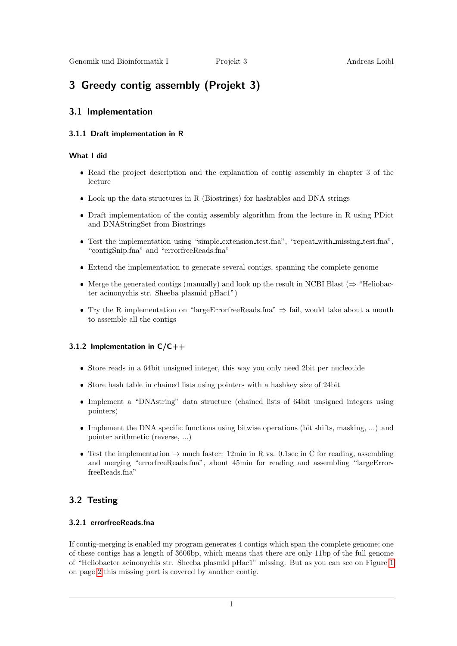# 3 Greedy contig assembly (Projekt 3)

### 3.1 Implementation

#### 3.1.1 Draft implementation in R

#### What I did

- Read the project description and the explanation of contig assembly in chapter 3 of the lecture
- Look up the data structures in R (Biostrings) for hashtables and DNA strings
- Draft implementation of the contig assembly algorithm from the lecture in R using PDict and DNAStringSet from Biostrings
- Test the implementation using "simple extension test.fna", "repeat with missing test.fna", "contigSnip.fna" and "errorfreeReads.fna"
- Extend the implementation to generate several contigs, spanning the complete genome
- Merge the generated contigs (manually) and look up the result in NCBI Blast ( $\Rightarrow$  "Heliobacter acinonychis str. Sheeba plasmid pHac1")
- Try the R implementation on "largeErrorfreeReads.fna"  $\Rightarrow$  fail, would take about a month to assemble all the contigs

#### 3.1.2 Implementation in  $C/C++$

- Store reads in a 64bit unsigned integer, this way you only need 2bit per nucleotide
- Store hash table in chained lists using pointers with a hashkey size of 24bit
- Implement a "DNAstring" data structure (chained lists of 64bit unsigned integers using pointers)
- Implement the DNA specific functions using bitwise operations (bit shifts, masking, ...) and pointer arithmetic (reverse, ...)
- Test the implementation  $\rightarrow$  much faster: 12min in R vs. 0.1sec in C for reading, assembling and merging "errorfreeReads.fna", about 45min for reading and assembling "largeErrorfreeReads.fna"

## 3.2 Testing

#### 3.2.1 errorfreeReads.fna

If contig-merging is enabled my program generates 4 contigs which span the complete genome; one of these contigs has a length of 3606bp, which means that there are only 11bp of the full genome of "Heliobacter acinonychis str. Sheeba plasmid pHac1" missing. But as you can see on Figure [1](#page-1-0) on page [2](#page-1-0) this missing part is covered by another contig.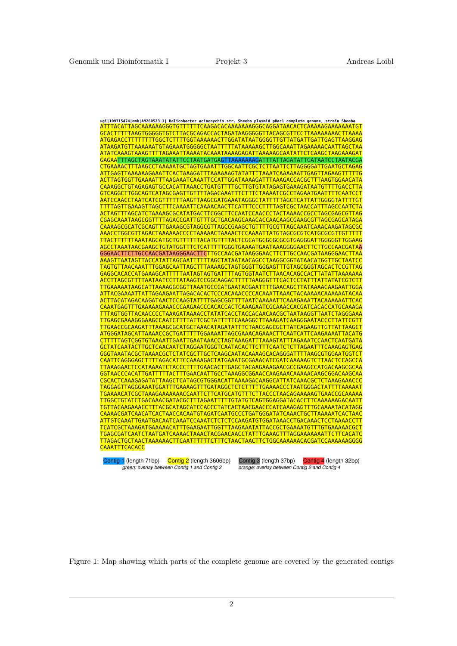| ATAAGATGTTAAAAAATGTAGAAATGGGGGCTAATTTTTATAAAAAGCTTGGCAAATTAGAAAAACAATTAGCTAA<br>GAGAATTTAGCTAGTAAATATATTCCTAATGATGAGTTAAAAAAGATTTATTAGATATTGATAATCCTAATACGA<br>CTGAAAACTTTAAGCCTAAAAATGCTAGTGAAATTTGGCAATTCGCTCTTAATTCTTAGGGGATTGAATGCTAGAG<br><u>ATTGAGTTAAAAAAGAAATTCACTAAAGATTTAAAAAAGTATATTTTAAATCAAAAAATTGAGTTAGAAGTTTTTG</u><br>ACTTAGTGGTTGAAAATTTAAGAAATCAAATTCCATTGGATAAAAGATTTAAAGACCACGCTTTAAGTGGAACATA<br>CAAAGGCTGTAGAGAGTGCCACATTAAACCTGATGTTTTGCTTGTGTATAGAGTGAAAGATAATGTTTTGACCTTA<br><u>AATCCAACCTAATCATCGTTTTTTAAGTTAAGCGATGAAATAGGGCTATTTTTAGCTCATTATTGGGGTATTTTGT</u><br><u>TTTTAGTTGAAAGTTAGCTTTCAAAATTCAAAACAACTTCATTTCCCTTTTAGTCGCTAACCATTTAGCCAATCTA</u><br>CGAGCAAATAAGCGGTTTTAGACCGATTGTTTGCTGACAAGCAAACACCAACAAGCGAAGCGTTAGCGAGCATAGA<br>CAAAAGCGCATCGCAGTTTGAAAGCGTAGGCGTTAGCCGAAGCTGTTTTGCGTTAGCAAATCAAACAAGATAGCGC<br>AAACCTGGCGTTAGACTAAAAAACCCCTAAAAACTAAAACTCCAAAATTATGTAGCGCGTCATGCGCGTTGTTTTTT<br>AGCCTAAATAACGAAGCTGTATGGTTTCTCATTTTTGGGTGAAAATGAATAAAGGGGAACTTCTTGCCAACGATAA<br>GGGAACTTCTTGCCAACGATAAGGGAACTTCTTGCCAACGATAAGGGAACTTCTTGCCAACGATAAGGGAACTTAA<br>AAAGTTAATAGTTACCATATTAGCAATTTTTTAGCTATAATAACAGCCTAAGGCGGTATAACATGGTTGCTAATCC<br>TAGTGTTAACAAATTTGGAGCAATTAGCTTTAAAAGCTAGTGGGTTGGGAGTTTGTAGCGGGTAGCACTCCGTTAG<br>GAGGCACACCATGAAAGCATTTTTAATAGTAGTGATTTTAGTGGTAATCTTAACACAGCCACTTATATTAAAAAAA<br>TTGAAAAATAAGCATTAAAAGGCGGTTAAATGCCCATGAATACGAATTTTGAACAGCTTATAAAACAAGAATTGGA<br><u>ATTACGAAAATTATTAGAAGAATTAGACACACTCCCACAAACCCCACAAATTAAACTACAAAAACAAAAATACAA</u><br>ACTTACATAGACAAGATAACTCCAAGTATTTTGAGCGGTTTTAATCAAAAATTCAAAGAAATTACAAAAAATTCAC<br>CAAATGAGTTTGAAAAAGAAACCCAAGAACCCACACCACTCAAAGAATCGCAAACCACGATCACACCATGCAAAGA<br>TTTAGTGGTTACAACCCCTAAAGATAAAACCTATATCACCTACCACAACAACGCTAATAAGGTTAATCTAGGGAAA<br><u>TTGAGCGAAAGGGAAGCCAATCTTTTATTCGCTATTTTTCAAAGGCTTAAAGATCAAGGGAATACCCTTATTCGTT</u><br><u>TTGAACCGCAAGATTTAAAGCGCATGCTAAACATAGATATTTCTAACGAGCGCTTATCAGAAGTTGTTATTAAGCT</u><br>ATGGGATAGCATTAAAACCGCTGATTTTTGGAAAATTAGCGAAACAGAAACTTCAATCATTCAAGAAAATTACATG<br>CTTTTTAGTCGGTGTAAAATTGAATTGAATAAACCTAGTAAAGATTTAAAGTATTTAGAAATCCAACTCAATGATA<br>GCTATCAATACTTGCTCAACAATCTAGGAATGGGTCAATACACTTCTTTCAATCTCTTAGAATTTCAAAGAGTGAG<br>GGGTAAATACGCTAAAACGCTCTATCGCTTGCTCAAGCAATACAAAAGCACAGGGATTTTAAGCGTGGAATGGTCT<br>CAATTCAGGGAGCTTTTAGACATTCCAAAAGACTATGAAATGCGAAACATCGATCAAAAAGTCTTAACTCCAGCCA<br>GGTAACCCACATTGATTTTTACTTTGAACAATTGCCTAAAGGCGGAACCAAGAAACAAAAACAAGCGGACAAGCAA<br>CGCACTCAAAGAGATATTAAGCTCATAGCGTGGGACATTAAAAGACAAGGCATTATCAAACGCTCTAAAGAAACCC<br>TAGGAGTTAGGGAAATGGATTTGAAAAGTTTGATAGGCTCTCTTTTTGAAAACCCTAATGGGACTATTTTAAAAAT<br><u>TTGGCTGTATCTGACAAACGATACGCTTTAGAATTTTTGTATGTCAGTGGAGGATACACCTTCAAAAAAGACAATT</u><br>TGTTACAAGAAACCTTTACGCATAGCATCCACCCTATCACTAACGAACCCATCAAAGAGTTTGCAAAATACATAGG<br>CAAAACGATCAACATCACTAACCACAATGTAGATCAATGCCCTGATGGGATATCAAACTGCTTAAAAATCACTAAC<br>ATTGTCAAATTGAATGACAATCAAATCCAAATCTCTCTCCAAGATGTGGATAAACCTGACAAACTCCTAAAACCTT<br>TCATCGCTAAAGATGAAAAACATTTGAAGAATTGGTTTAAGAAATATTACCGCTGAAAATGTTTGTGAAAAACGCT<br><u>TGAGCGATCAATCTAATGATCAAAACTAAACTACGAACAACCTATTTGAAAGTTTAGGAAAAAAATTCTTCACATC</u><br><b>CAAATTTCACACC</b><br>Contig 1 (length 71bp)<br>Contig 2 (length 3606bp)<br>Contig 3 (length 37bp)<br>Contig 4 (length 32bp) | >qi 109715474 emb AM260523.1  Helicobacter acinonychis str. Sheeba plasmid pHac1 complete qenome, strain Sheeba<br>ATTTACATTAGCAAAAAAGGGTGTTTTTTCAAGACACAAAAAAGGGCAGGATAACACTCAAAAAGAAAAAATGT |
|-----------------------------------------------------------------------------------------------------------------------------------------------------------------------------------------------------------------------------------------------------------------------------------------------------------------------------------------------------------------------------------------------------------------------------------------------------------------------------------------------------------------------------------------------------------------------------------------------------------------------------------------------------------------------------------------------------------------------------------------------------------------------------------------------------------------------------------------------------------------------------------------------------------------------------------------------------------------------------------------------------------------------------------------------------------------------------------------------------------------------------------------------------------------------------------------------------------------------------------------------------------------------------------------------------------------------------------------------------------------------------------------------------------------------------------------------------------------------------------------------------------------------------------------------------------------------------------------------------------------------------------------------------------------------------------------------------------------------------------------------------------------------------------------------------------------------------------------------------------------------------------------------------------------------------------------------------------------------------------------------------------------------------------------------------------------------------------------------------------------------------------------------------------------------------------------------------------------------------------------------------------------------------------------------------------------------------------------------------------------------------------------------------------------------------------------------------------------------------------------------------------------------------------------------------------------------------------------------------------------------------------------------------------------------------------------------------------------------------------------------------------------------------------------------------------------------------------------------------------------------------------------------------------------------------------------------------------------------------------------------------------------------------------------------------------------------------------------------------------------------------------------------------------------------------------------------------------------------------------------------------------------------|-----------------------------------------------------------------------------------------------------------------------------------------------------------------------------------------------|
|                                                                                                                                                                                                                                                                                                                                                                                                                                                                                                                                                                                                                                                                                                                                                                                                                                                                                                                                                                                                                                                                                                                                                                                                                                                                                                                                                                                                                                                                                                                                                                                                                                                                                                                                                                                                                                                                                                                                                                                                                                                                                                                                                                                                                                                                                                                                                                                                                                                                                                                                                                                                                                                                                                                                                                                                                                                                                                                                                                                                                                                                                                                                                                                                                                                                       |                                                                                                                                                                                               |
|                                                                                                                                                                                                                                                                                                                                                                                                                                                                                                                                                                                                                                                                                                                                                                                                                                                                                                                                                                                                                                                                                                                                                                                                                                                                                                                                                                                                                                                                                                                                                                                                                                                                                                                                                                                                                                                                                                                                                                                                                                                                                                                                                                                                                                                                                                                                                                                                                                                                                                                                                                                                                                                                                                                                                                                                                                                                                                                                                                                                                                                                                                                                                                                                                                                                       |                                                                                                                                                                                               |
|                                                                                                                                                                                                                                                                                                                                                                                                                                                                                                                                                                                                                                                                                                                                                                                                                                                                                                                                                                                                                                                                                                                                                                                                                                                                                                                                                                                                                                                                                                                                                                                                                                                                                                                                                                                                                                                                                                                                                                                                                                                                                                                                                                                                                                                                                                                                                                                                                                                                                                                                                                                                                                                                                                                                                                                                                                                                                                                                                                                                                                                                                                                                                                                                                                                                       |                                                                                                                                                                                               |
|                                                                                                                                                                                                                                                                                                                                                                                                                                                                                                                                                                                                                                                                                                                                                                                                                                                                                                                                                                                                                                                                                                                                                                                                                                                                                                                                                                                                                                                                                                                                                                                                                                                                                                                                                                                                                                                                                                                                                                                                                                                                                                                                                                                                                                                                                                                                                                                                                                                                                                                                                                                                                                                                                                                                                                                                                                                                                                                                                                                                                                                                                                                                                                                                                                                                       |                                                                                                                                                                                               |
|                                                                                                                                                                                                                                                                                                                                                                                                                                                                                                                                                                                                                                                                                                                                                                                                                                                                                                                                                                                                                                                                                                                                                                                                                                                                                                                                                                                                                                                                                                                                                                                                                                                                                                                                                                                                                                                                                                                                                                                                                                                                                                                                                                                                                                                                                                                                                                                                                                                                                                                                                                                                                                                                                                                                                                                                                                                                                                                                                                                                                                                                                                                                                                                                                                                                       |                                                                                                                                                                                               |
|                                                                                                                                                                                                                                                                                                                                                                                                                                                                                                                                                                                                                                                                                                                                                                                                                                                                                                                                                                                                                                                                                                                                                                                                                                                                                                                                                                                                                                                                                                                                                                                                                                                                                                                                                                                                                                                                                                                                                                                                                                                                                                                                                                                                                                                                                                                                                                                                                                                                                                                                                                                                                                                                                                                                                                                                                                                                                                                                                                                                                                                                                                                                                                                                                                                                       |                                                                                                                                                                                               |
|                                                                                                                                                                                                                                                                                                                                                                                                                                                                                                                                                                                                                                                                                                                                                                                                                                                                                                                                                                                                                                                                                                                                                                                                                                                                                                                                                                                                                                                                                                                                                                                                                                                                                                                                                                                                                                                                                                                                                                                                                                                                                                                                                                                                                                                                                                                                                                                                                                                                                                                                                                                                                                                                                                                                                                                                                                                                                                                                                                                                                                                                                                                                                                                                                                                                       |                                                                                                                                                                                               |
|                                                                                                                                                                                                                                                                                                                                                                                                                                                                                                                                                                                                                                                                                                                                                                                                                                                                                                                                                                                                                                                                                                                                                                                                                                                                                                                                                                                                                                                                                                                                                                                                                                                                                                                                                                                                                                                                                                                                                                                                                                                                                                                                                                                                                                                                                                                                                                                                                                                                                                                                                                                                                                                                                                                                                                                                                                                                                                                                                                                                                                                                                                                                                                                                                                                                       |                                                                                                                                                                                               |
|                                                                                                                                                                                                                                                                                                                                                                                                                                                                                                                                                                                                                                                                                                                                                                                                                                                                                                                                                                                                                                                                                                                                                                                                                                                                                                                                                                                                                                                                                                                                                                                                                                                                                                                                                                                                                                                                                                                                                                                                                                                                                                                                                                                                                                                                                                                                                                                                                                                                                                                                                                                                                                                                                                                                                                                                                                                                                                                                                                                                                                                                                                                                                                                                                                                                       |                                                                                                                                                                                               |
|                                                                                                                                                                                                                                                                                                                                                                                                                                                                                                                                                                                                                                                                                                                                                                                                                                                                                                                                                                                                                                                                                                                                                                                                                                                                                                                                                                                                                                                                                                                                                                                                                                                                                                                                                                                                                                                                                                                                                                                                                                                                                                                                                                                                                                                                                                                                                                                                                                                                                                                                                                                                                                                                                                                                                                                                                                                                                                                                                                                                                                                                                                                                                                                                                                                                       |                                                                                                                                                                                               |
|                                                                                                                                                                                                                                                                                                                                                                                                                                                                                                                                                                                                                                                                                                                                                                                                                                                                                                                                                                                                                                                                                                                                                                                                                                                                                                                                                                                                                                                                                                                                                                                                                                                                                                                                                                                                                                                                                                                                                                                                                                                                                                                                                                                                                                                                                                                                                                                                                                                                                                                                                                                                                                                                                                                                                                                                                                                                                                                                                                                                                                                                                                                                                                                                                                                                       |                                                                                                                                                                                               |
|                                                                                                                                                                                                                                                                                                                                                                                                                                                                                                                                                                                                                                                                                                                                                                                                                                                                                                                                                                                                                                                                                                                                                                                                                                                                                                                                                                                                                                                                                                                                                                                                                                                                                                                                                                                                                                                                                                                                                                                                                                                                                                                                                                                                                                                                                                                                                                                                                                                                                                                                                                                                                                                                                                                                                                                                                                                                                                                                                                                                                                                                                                                                                                                                                                                                       |                                                                                                                                                                                               |
|                                                                                                                                                                                                                                                                                                                                                                                                                                                                                                                                                                                                                                                                                                                                                                                                                                                                                                                                                                                                                                                                                                                                                                                                                                                                                                                                                                                                                                                                                                                                                                                                                                                                                                                                                                                                                                                                                                                                                                                                                                                                                                                                                                                                                                                                                                                                                                                                                                                                                                                                                                                                                                                                                                                                                                                                                                                                                                                                                                                                                                                                                                                                                                                                                                                                       |                                                                                                                                                                                               |
|                                                                                                                                                                                                                                                                                                                                                                                                                                                                                                                                                                                                                                                                                                                                                                                                                                                                                                                                                                                                                                                                                                                                                                                                                                                                                                                                                                                                                                                                                                                                                                                                                                                                                                                                                                                                                                                                                                                                                                                                                                                                                                                                                                                                                                                                                                                                                                                                                                                                                                                                                                                                                                                                                                                                                                                                                                                                                                                                                                                                                                                                                                                                                                                                                                                                       |                                                                                                                                                                                               |
|                                                                                                                                                                                                                                                                                                                                                                                                                                                                                                                                                                                                                                                                                                                                                                                                                                                                                                                                                                                                                                                                                                                                                                                                                                                                                                                                                                                                                                                                                                                                                                                                                                                                                                                                                                                                                                                                                                                                                                                                                                                                                                                                                                                                                                                                                                                                                                                                                                                                                                                                                                                                                                                                                                                                                                                                                                                                                                                                                                                                                                                                                                                                                                                                                                                                       |                                                                                                                                                                                               |
|                                                                                                                                                                                                                                                                                                                                                                                                                                                                                                                                                                                                                                                                                                                                                                                                                                                                                                                                                                                                                                                                                                                                                                                                                                                                                                                                                                                                                                                                                                                                                                                                                                                                                                                                                                                                                                                                                                                                                                                                                                                                                                                                                                                                                                                                                                                                                                                                                                                                                                                                                                                                                                                                                                                                                                                                                                                                                                                                                                                                                                                                                                                                                                                                                                                                       |                                                                                                                                                                                               |
|                                                                                                                                                                                                                                                                                                                                                                                                                                                                                                                                                                                                                                                                                                                                                                                                                                                                                                                                                                                                                                                                                                                                                                                                                                                                                                                                                                                                                                                                                                                                                                                                                                                                                                                                                                                                                                                                                                                                                                                                                                                                                                                                                                                                                                                                                                                                                                                                                                                                                                                                                                                                                                                                                                                                                                                                                                                                                                                                                                                                                                                                                                                                                                                                                                                                       |                                                                                                                                                                                               |
|                                                                                                                                                                                                                                                                                                                                                                                                                                                                                                                                                                                                                                                                                                                                                                                                                                                                                                                                                                                                                                                                                                                                                                                                                                                                                                                                                                                                                                                                                                                                                                                                                                                                                                                                                                                                                                                                                                                                                                                                                                                                                                                                                                                                                                                                                                                                                                                                                                                                                                                                                                                                                                                                                                                                                                                                                                                                                                                                                                                                                                                                                                                                                                                                                                                                       |                                                                                                                                                                                               |
|                                                                                                                                                                                                                                                                                                                                                                                                                                                                                                                                                                                                                                                                                                                                                                                                                                                                                                                                                                                                                                                                                                                                                                                                                                                                                                                                                                                                                                                                                                                                                                                                                                                                                                                                                                                                                                                                                                                                                                                                                                                                                                                                                                                                                                                                                                                                                                                                                                                                                                                                                                                                                                                                                                                                                                                                                                                                                                                                                                                                                                                                                                                                                                                                                                                                       |                                                                                                                                                                                               |
|                                                                                                                                                                                                                                                                                                                                                                                                                                                                                                                                                                                                                                                                                                                                                                                                                                                                                                                                                                                                                                                                                                                                                                                                                                                                                                                                                                                                                                                                                                                                                                                                                                                                                                                                                                                                                                                                                                                                                                                                                                                                                                                                                                                                                                                                                                                                                                                                                                                                                                                                                                                                                                                                                                                                                                                                                                                                                                                                                                                                                                                                                                                                                                                                                                                                       |                                                                                                                                                                                               |
|                                                                                                                                                                                                                                                                                                                                                                                                                                                                                                                                                                                                                                                                                                                                                                                                                                                                                                                                                                                                                                                                                                                                                                                                                                                                                                                                                                                                                                                                                                                                                                                                                                                                                                                                                                                                                                                                                                                                                                                                                                                                                                                                                                                                                                                                                                                                                                                                                                                                                                                                                                                                                                                                                                                                                                                                                                                                                                                                                                                                                                                                                                                                                                                                                                                                       |                                                                                                                                                                                               |
|                                                                                                                                                                                                                                                                                                                                                                                                                                                                                                                                                                                                                                                                                                                                                                                                                                                                                                                                                                                                                                                                                                                                                                                                                                                                                                                                                                                                                                                                                                                                                                                                                                                                                                                                                                                                                                                                                                                                                                                                                                                                                                                                                                                                                                                                                                                                                                                                                                                                                                                                                                                                                                                                                                                                                                                                                                                                                                                                                                                                                                                                                                                                                                                                                                                                       |                                                                                                                                                                                               |
|                                                                                                                                                                                                                                                                                                                                                                                                                                                                                                                                                                                                                                                                                                                                                                                                                                                                                                                                                                                                                                                                                                                                                                                                                                                                                                                                                                                                                                                                                                                                                                                                                                                                                                                                                                                                                                                                                                                                                                                                                                                                                                                                                                                                                                                                                                                                                                                                                                                                                                                                                                                                                                                                                                                                                                                                                                                                                                                                                                                                                                                                                                                                                                                                                                                                       |                                                                                                                                                                                               |
|                                                                                                                                                                                                                                                                                                                                                                                                                                                                                                                                                                                                                                                                                                                                                                                                                                                                                                                                                                                                                                                                                                                                                                                                                                                                                                                                                                                                                                                                                                                                                                                                                                                                                                                                                                                                                                                                                                                                                                                                                                                                                                                                                                                                                                                                                                                                                                                                                                                                                                                                                                                                                                                                                                                                                                                                                                                                                                                                                                                                                                                                                                                                                                                                                                                                       |                                                                                                                                                                                               |
|                                                                                                                                                                                                                                                                                                                                                                                                                                                                                                                                                                                                                                                                                                                                                                                                                                                                                                                                                                                                                                                                                                                                                                                                                                                                                                                                                                                                                                                                                                                                                                                                                                                                                                                                                                                                                                                                                                                                                                                                                                                                                                                                                                                                                                                                                                                                                                                                                                                                                                                                                                                                                                                                                                                                                                                                                                                                                                                                                                                                                                                                                                                                                                                                                                                                       |                                                                                                                                                                                               |
|                                                                                                                                                                                                                                                                                                                                                                                                                                                                                                                                                                                                                                                                                                                                                                                                                                                                                                                                                                                                                                                                                                                                                                                                                                                                                                                                                                                                                                                                                                                                                                                                                                                                                                                                                                                                                                                                                                                                                                                                                                                                                                                                                                                                                                                                                                                                                                                                                                                                                                                                                                                                                                                                                                                                                                                                                                                                                                                                                                                                                                                                                                                                                                                                                                                                       |                                                                                                                                                                                               |
|                                                                                                                                                                                                                                                                                                                                                                                                                                                                                                                                                                                                                                                                                                                                                                                                                                                                                                                                                                                                                                                                                                                                                                                                                                                                                                                                                                                                                                                                                                                                                                                                                                                                                                                                                                                                                                                                                                                                                                                                                                                                                                                                                                                                                                                                                                                                                                                                                                                                                                                                                                                                                                                                                                                                                                                                                                                                                                                                                                                                                                                                                                                                                                                                                                                                       |                                                                                                                                                                                               |
|                                                                                                                                                                                                                                                                                                                                                                                                                                                                                                                                                                                                                                                                                                                                                                                                                                                                                                                                                                                                                                                                                                                                                                                                                                                                                                                                                                                                                                                                                                                                                                                                                                                                                                                                                                                                                                                                                                                                                                                                                                                                                                                                                                                                                                                                                                                                                                                                                                                                                                                                                                                                                                                                                                                                                                                                                                                                                                                                                                                                                                                                                                                                                                                                                                                                       |                                                                                                                                                                                               |
|                                                                                                                                                                                                                                                                                                                                                                                                                                                                                                                                                                                                                                                                                                                                                                                                                                                                                                                                                                                                                                                                                                                                                                                                                                                                                                                                                                                                                                                                                                                                                                                                                                                                                                                                                                                                                                                                                                                                                                                                                                                                                                                                                                                                                                                                                                                                                                                                                                                                                                                                                                                                                                                                                                                                                                                                                                                                                                                                                                                                                                                                                                                                                                                                                                                                       |                                                                                                                                                                                               |
|                                                                                                                                                                                                                                                                                                                                                                                                                                                                                                                                                                                                                                                                                                                                                                                                                                                                                                                                                                                                                                                                                                                                                                                                                                                                                                                                                                                                                                                                                                                                                                                                                                                                                                                                                                                                                                                                                                                                                                                                                                                                                                                                                                                                                                                                                                                                                                                                                                                                                                                                                                                                                                                                                                                                                                                                                                                                                                                                                                                                                                                                                                                                                                                                                                                                       |                                                                                                                                                                                               |
|                                                                                                                                                                                                                                                                                                                                                                                                                                                                                                                                                                                                                                                                                                                                                                                                                                                                                                                                                                                                                                                                                                                                                                                                                                                                                                                                                                                                                                                                                                                                                                                                                                                                                                                                                                                                                                                                                                                                                                                                                                                                                                                                                                                                                                                                                                                                                                                                                                                                                                                                                                                                                                                                                                                                                                                                                                                                                                                                                                                                                                                                                                                                                                                                                                                                       |                                                                                                                                                                                               |
|                                                                                                                                                                                                                                                                                                                                                                                                                                                                                                                                                                                                                                                                                                                                                                                                                                                                                                                                                                                                                                                                                                                                                                                                                                                                                                                                                                                                                                                                                                                                                                                                                                                                                                                                                                                                                                                                                                                                                                                                                                                                                                                                                                                                                                                                                                                                                                                                                                                                                                                                                                                                                                                                                                                                                                                                                                                                                                                                                                                                                                                                                                                                                                                                                                                                       |                                                                                                                                                                                               |
|                                                                                                                                                                                                                                                                                                                                                                                                                                                                                                                                                                                                                                                                                                                                                                                                                                                                                                                                                                                                                                                                                                                                                                                                                                                                                                                                                                                                                                                                                                                                                                                                                                                                                                                                                                                                                                                                                                                                                                                                                                                                                                                                                                                                                                                                                                                                                                                                                                                                                                                                                                                                                                                                                                                                                                                                                                                                                                                                                                                                                                                                                                                                                                                                                                                                       |                                                                                                                                                                                               |
|                                                                                                                                                                                                                                                                                                                                                                                                                                                                                                                                                                                                                                                                                                                                                                                                                                                                                                                                                                                                                                                                                                                                                                                                                                                                                                                                                                                                                                                                                                                                                                                                                                                                                                                                                                                                                                                                                                                                                                                                                                                                                                                                                                                                                                                                                                                                                                                                                                                                                                                                                                                                                                                                                                                                                                                                                                                                                                                                                                                                                                                                                                                                                                                                                                                                       |                                                                                                                                                                                               |
|                                                                                                                                                                                                                                                                                                                                                                                                                                                                                                                                                                                                                                                                                                                                                                                                                                                                                                                                                                                                                                                                                                                                                                                                                                                                                                                                                                                                                                                                                                                                                                                                                                                                                                                                                                                                                                                                                                                                                                                                                                                                                                                                                                                                                                                                                                                                                                                                                                                                                                                                                                                                                                                                                                                                                                                                                                                                                                                                                                                                                                                                                                                                                                                                                                                                       |                                                                                                                                                                                               |
|                                                                                                                                                                                                                                                                                                                                                                                                                                                                                                                                                                                                                                                                                                                                                                                                                                                                                                                                                                                                                                                                                                                                                                                                                                                                                                                                                                                                                                                                                                                                                                                                                                                                                                                                                                                                                                                                                                                                                                                                                                                                                                                                                                                                                                                                                                                                                                                                                                                                                                                                                                                                                                                                                                                                                                                                                                                                                                                                                                                                                                                                                                                                                                                                                                                                       |                                                                                                                                                                                               |
|                                                                                                                                                                                                                                                                                                                                                                                                                                                                                                                                                                                                                                                                                                                                                                                                                                                                                                                                                                                                                                                                                                                                                                                                                                                                                                                                                                                                                                                                                                                                                                                                                                                                                                                                                                                                                                                                                                                                                                                                                                                                                                                                                                                                                                                                                                                                                                                                                                                                                                                                                                                                                                                                                                                                                                                                                                                                                                                                                                                                                                                                                                                                                                                                                                                                       |                                                                                                                                                                                               |
|                                                                                                                                                                                                                                                                                                                                                                                                                                                                                                                                                                                                                                                                                                                                                                                                                                                                                                                                                                                                                                                                                                                                                                                                                                                                                                                                                                                                                                                                                                                                                                                                                                                                                                                                                                                                                                                                                                                                                                                                                                                                                                                                                                                                                                                                                                                                                                                                                                                                                                                                                                                                                                                                                                                                                                                                                                                                                                                                                                                                                                                                                                                                                                                                                                                                       |                                                                                                                                                                                               |
|                                                                                                                                                                                                                                                                                                                                                                                                                                                                                                                                                                                                                                                                                                                                                                                                                                                                                                                                                                                                                                                                                                                                                                                                                                                                                                                                                                                                                                                                                                                                                                                                                                                                                                                                                                                                                                                                                                                                                                                                                                                                                                                                                                                                                                                                                                                                                                                                                                                                                                                                                                                                                                                                                                                                                                                                                                                                                                                                                                                                                                                                                                                                                                                                                                                                       |                                                                                                                                                                                               |
|                                                                                                                                                                                                                                                                                                                                                                                                                                                                                                                                                                                                                                                                                                                                                                                                                                                                                                                                                                                                                                                                                                                                                                                                                                                                                                                                                                                                                                                                                                                                                                                                                                                                                                                                                                                                                                                                                                                                                                                                                                                                                                                                                                                                                                                                                                                                                                                                                                                                                                                                                                                                                                                                                                                                                                                                                                                                                                                                                                                                                                                                                                                                                                                                                                                                       |                                                                                                                                                                                               |
|                                                                                                                                                                                                                                                                                                                                                                                                                                                                                                                                                                                                                                                                                                                                                                                                                                                                                                                                                                                                                                                                                                                                                                                                                                                                                                                                                                                                                                                                                                                                                                                                                                                                                                                                                                                                                                                                                                                                                                                                                                                                                                                                                                                                                                                                                                                                                                                                                                                                                                                                                                                                                                                                                                                                                                                                                                                                                                                                                                                                                                                                                                                                                                                                                                                                       |                                                                                                                                                                                               |
|                                                                                                                                                                                                                                                                                                                                                                                                                                                                                                                                                                                                                                                                                                                                                                                                                                                                                                                                                                                                                                                                                                                                                                                                                                                                                                                                                                                                                                                                                                                                                                                                                                                                                                                                                                                                                                                                                                                                                                                                                                                                                                                                                                                                                                                                                                                                                                                                                                                                                                                                                                                                                                                                                                                                                                                                                                                                                                                                                                                                                                                                                                                                                                                                                                                                       |                                                                                                                                                                                               |
|                                                                                                                                                                                                                                                                                                                                                                                                                                                                                                                                                                                                                                                                                                                                                                                                                                                                                                                                                                                                                                                                                                                                                                                                                                                                                                                                                                                                                                                                                                                                                                                                                                                                                                                                                                                                                                                                                                                                                                                                                                                                                                                                                                                                                                                                                                                                                                                                                                                                                                                                                                                                                                                                                                                                                                                                                                                                                                                                                                                                                                                                                                                                                                                                                                                                       |                                                                                                                                                                                               |
|                                                                                                                                                                                                                                                                                                                                                                                                                                                                                                                                                                                                                                                                                                                                                                                                                                                                                                                                                                                                                                                                                                                                                                                                                                                                                                                                                                                                                                                                                                                                                                                                                                                                                                                                                                                                                                                                                                                                                                                                                                                                                                                                                                                                                                                                                                                                                                                                                                                                                                                                                                                                                                                                                                                                                                                                                                                                                                                                                                                                                                                                                                                                                                                                                                                                       |                                                                                                                                                                                               |
|                                                                                                                                                                                                                                                                                                                                                                                                                                                                                                                                                                                                                                                                                                                                                                                                                                                                                                                                                                                                                                                                                                                                                                                                                                                                                                                                                                                                                                                                                                                                                                                                                                                                                                                                                                                                                                                                                                                                                                                                                                                                                                                                                                                                                                                                                                                                                                                                                                                                                                                                                                                                                                                                                                                                                                                                                                                                                                                                                                                                                                                                                                                                                                                                                                                                       |                                                                                                                                                                                               |
|                                                                                                                                                                                                                                                                                                                                                                                                                                                                                                                                                                                                                                                                                                                                                                                                                                                                                                                                                                                                                                                                                                                                                                                                                                                                                                                                                                                                                                                                                                                                                                                                                                                                                                                                                                                                                                                                                                                                                                                                                                                                                                                                                                                                                                                                                                                                                                                                                                                                                                                                                                                                                                                                                                                                                                                                                                                                                                                                                                                                                                                                                                                                                                                                                                                                       |                                                                                                                                                                                               |
|                                                                                                                                                                                                                                                                                                                                                                                                                                                                                                                                                                                                                                                                                                                                                                                                                                                                                                                                                                                                                                                                                                                                                                                                                                                                                                                                                                                                                                                                                                                                                                                                                                                                                                                                                                                                                                                                                                                                                                                                                                                                                                                                                                                                                                                                                                                                                                                                                                                                                                                                                                                                                                                                                                                                                                                                                                                                                                                                                                                                                                                                                                                                                                                                                                                                       |                                                                                                                                                                                               |
|                                                                                                                                                                                                                                                                                                                                                                                                                                                                                                                                                                                                                                                                                                                                                                                                                                                                                                                                                                                                                                                                                                                                                                                                                                                                                                                                                                                                                                                                                                                                                                                                                                                                                                                                                                                                                                                                                                                                                                                                                                                                                                                                                                                                                                                                                                                                                                                                                                                                                                                                                                                                                                                                                                                                                                                                                                                                                                                                                                                                                                                                                                                                                                                                                                                                       |                                                                                                                                                                                               |
|                                                                                                                                                                                                                                                                                                                                                                                                                                                                                                                                                                                                                                                                                                                                                                                                                                                                                                                                                                                                                                                                                                                                                                                                                                                                                                                                                                                                                                                                                                                                                                                                                                                                                                                                                                                                                                                                                                                                                                                                                                                                                                                                                                                                                                                                                                                                                                                                                                                                                                                                                                                                                                                                                                                                                                                                                                                                                                                                                                                                                                                                                                                                                                                                                                                                       |                                                                                                                                                                                               |
|                                                                                                                                                                                                                                                                                                                                                                                                                                                                                                                                                                                                                                                                                                                                                                                                                                                                                                                                                                                                                                                                                                                                                                                                                                                                                                                                                                                                                                                                                                                                                                                                                                                                                                                                                                                                                                                                                                                                                                                                                                                                                                                                                                                                                                                                                                                                                                                                                                                                                                                                                                                                                                                                                                                                                                                                                                                                                                                                                                                                                                                                                                                                                                                                                                                                       |                                                                                                                                                                                               |
|                                                                                                                                                                                                                                                                                                                                                                                                                                                                                                                                                                                                                                                                                                                                                                                                                                                                                                                                                                                                                                                                                                                                                                                                                                                                                                                                                                                                                                                                                                                                                                                                                                                                                                                                                                                                                                                                                                                                                                                                                                                                                                                                                                                                                                                                                                                                                                                                                                                                                                                                                                                                                                                                                                                                                                                                                                                                                                                                                                                                                                                                                                                                                                                                                                                                       |                                                                                                                                                                                               |
|                                                                                                                                                                                                                                                                                                                                                                                                                                                                                                                                                                                                                                                                                                                                                                                                                                                                                                                                                                                                                                                                                                                                                                                                                                                                                                                                                                                                                                                                                                                                                                                                                                                                                                                                                                                                                                                                                                                                                                                                                                                                                                                                                                                                                                                                                                                                                                                                                                                                                                                                                                                                                                                                                                                                                                                                                                                                                                                                                                                                                                                                                                                                                                                                                                                                       |                                                                                                                                                                                               |
|                                                                                                                                                                                                                                                                                                                                                                                                                                                                                                                                                                                                                                                                                                                                                                                                                                                                                                                                                                                                                                                                                                                                                                                                                                                                                                                                                                                                                                                                                                                                                                                                                                                                                                                                                                                                                                                                                                                                                                                                                                                                                                                                                                                                                                                                                                                                                                                                                                                                                                                                                                                                                                                                                                                                                                                                                                                                                                                                                                                                                                                                                                                                                                                                                                                                       | green: overlay between Contig 1 and Contig 2<br>orange: overlay between Contig 2 and Contig 4                                                                                                 |

<span id="page-1-0"></span>Figure 1: Map showing which parts of the complete genome are covered by the generated contigs

2